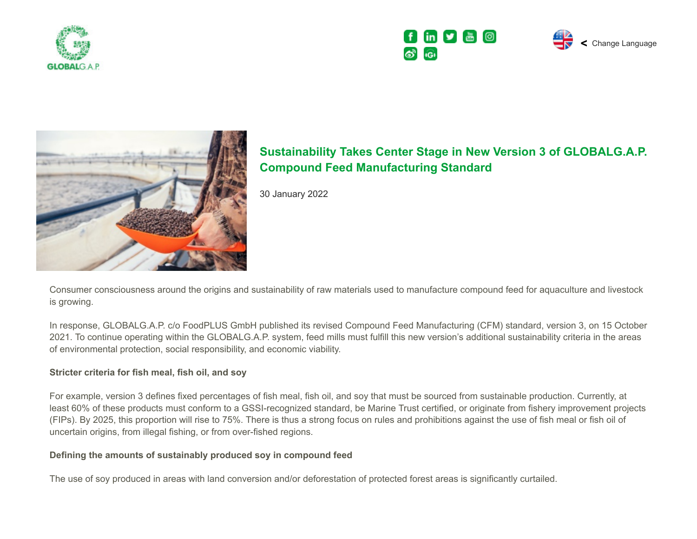







# **Sustainability Takes Center Stage in New Version 3 of GLOBALG.A.P. Compound Feed Manufacturing Standard**

30 January 2022

Consumer consciousness around the origins and sustainability of raw materials used to manufacture compound feed for aquaculture and livestock is growing.

In response, GLOBALG.A.P. c/o FoodPLUS GmbH published its revised Compound Feed Manufacturing (CFM) standard, version 3, on 15 October 2021. To continue operating within the GLOBALG.A.P. system, feed mills must fulfill this new version's additional sustainability criteria in the areas of environmental protection, social responsibility, and economic viability.

## **Stricter criteria for fish meal, fish oil, and soy**

For example, version 3 defines fixed percentages of fish meal, fish oil, and soy that must be sourced from sustainable production. Currently, at least 60% of these products must conform to a GSSI-recognized standard, be Marine Trust certified, or originate from fishery improvement projects (FIPs). By 2025, this proportion will rise to 75%. There is thus a strong focus on rules and prohibitions against the use of fish meal or fish oil of uncertain origins, from illegal fishing, or from over-fished regions.

## **Defining the amounts of sustainably produced soy in compound feed**

The use of soy produced in areas with land conversion and/or deforestation of protected forest areas is significantly curtailed.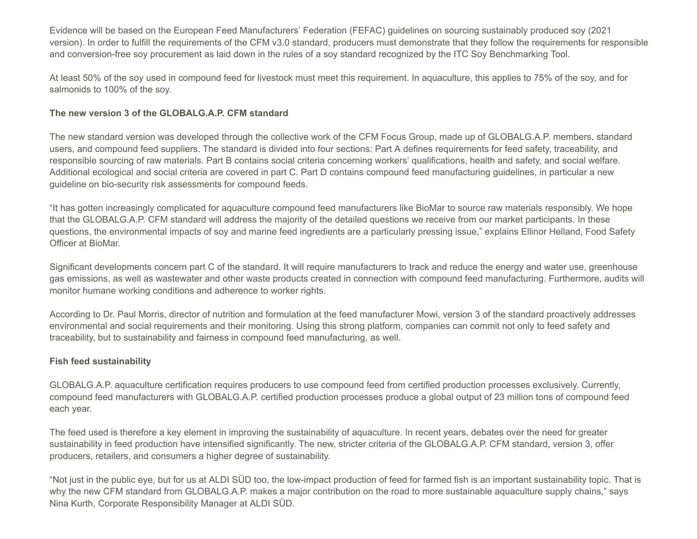Evidence will be based on the European Feed Manufacturers' Federation (FEFAC) guidelines on sourcing sustainably produced soy (2021 version). In order to fulfill the requirements of the CFM v3.0 standard, producers must demonstrate that they follow the requirements for responsible and conversion-free soy procurement as laid down in the rules of a soy standard recognized by the ITC Soy Benchmarking Tool.

At least 50% of the soy used in compound feed for livestock must meet this requirement. In aquaculture, this applies to 75% of the soy, and for salmonids to 100% of the soy.

## **The new version 3 of the GLOBALG.A.P. CFM standard**

The new standard version was developed through the collective work of the CFM Focus Group, made up of GLOBALG.A.P. members, standard users, and compound feed suppliers. The standard is divided into four sections: Part A defines requirements for feed safety, traceability, and responsible sourcing of raw materials. Part B contains social criteria concerning workers' qualifications, health and safety, and social welfare. Additional ecological and social criteria are covered in part C. Part D contains compound feed manufacturing guidelines, in particular a new guideline on bio-security risk assessments for compound feeds.

"It has gotten increasingly complicated for aquaculture compound feed manufacturers like BioMar to source raw materials responsibly. We hope that the GLOBALG.A.P. CFM standard will address the majority of the detailed questions we receive from our market participants. In these questions, the environmental impacts of soy and marine feed ingredients are a particularly pressing issue," explains Ellinor Helland, Food Safety Officer at BioMar.

Significant developments concern part C of the standard. It will require manufacturers to track and reduce the energy and water use, greenhouse gas emissions, as well as wastewater and other waste products created in connection with compound feed manufacturing. Furthermore, audits will monitor humane working conditions and adherence to worker rights.

According to Dr. Paul Morris, director of nutrition and formulation at the feed manufacturer Mowi, version 3 of the standard proactively addresses environmental and social requirements and their monitoring. Using this strong platform, companies can commit not only to feed safety and traceability, but to sustainability and fairness in compound feed manufacturing, as well.

#### **Fish feed sustainability**

GLOBALG.A.P. aquaculture certification requires producers to use compound feed from certified production processes exclusively. Currently, compound feed manufacturers with GLOBALG.A.P. certified production processes produce a global output of 23 million tons of compound feed each year.

The feed used is therefore a key element in improving the sustainability of aquaculture. In recent years, debates over the need for greater sustainability in feed production have intensified significantly. The new, stricter criteria of the GLOBALG.A.P. CFM standard, version 3, offer producers, retailers, and consumers a higher degree of sustainability.

"Not just in the public eye, but for us at ALDI SÜD too, the low-impact production of feed for farmed fish is an important sustainability topic. That is why the new CFM standard from GLOBALG.A.P. makes a major contribution on the road to more sustainable aquaculture supply chains," says Nina Kurth, Corporate Responsibility Manager at ALDI SÜD.